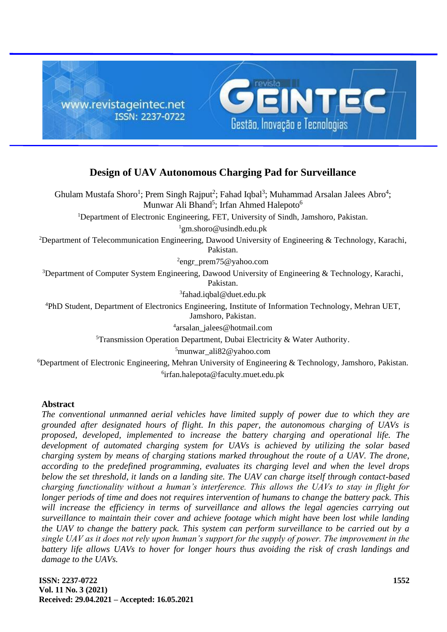

# **Design of UAV Autonomous Charging Pad for Surveillance**

Ghulam Mustafa Shoro<sup>1</sup>; Prem Singh Rajput<sup>2</sup>; Fahad Iqbal<sup>3</sup>; Muhammad Arsalan Jalees Abro<sup>4</sup>; Munwar Ali Bhand<sup>5</sup>; Irfan Ahmed Halepoto<sup>6</sup> <sup>1</sup>Department of Electronic Engineering, FET, University of Sindh, Jamshoro, [Pakistan.](https://en.wikipedia.org/wiki/Pakistan)

 $1$ [gm.shoro@usindh.edu.pk](mailto:gm.shoro@usindh.edu.pk)

<sup>2</sup>Department of Telecommunication Engineering, Dawood University of Engineering & Technology, Karachi, [Pakistan.](https://en.wikipedia.org/wiki/Pakistan)

2 engr\_prem75@yahoo.com

<sup>3</sup>Department of Computer System Engineering, Dawood University of Engineering & Technology, Karachi, [Pakistan.](https://en.wikipedia.org/wiki/Pakistan)

3 [fahad.iqbal@duet.edu.pk](mailto:fahad.iqbal@duet.edu.pk)

<sup>4</sup>PhD Student, Department of Electronics Engineering, Institute of Information Technology, Mehran UET, Jamshoro, [Pakistan.](https://en.wikipedia.org/wiki/Pakistan)

4 [arsalan\\_jalees@hotmail.com](mailto:arsalan_jalees@hotmail.com)

 $5$ Transmission Operation Department, Dubai Electricity & Water Authority.

 $5$ [munwar\\_ali82@yahoo.com](mailto:munwar_ali82@yahoo.com)

<sup>6</sup>Department of Electronic Engineering, Mehran University of Engineering & Technology, Jamshoro, [Pakistan.](https://en.wikipedia.org/wiki/Pakistan) 6 [irfan.halepota@faculty.muet.edu.pk](mailto:irfan.halepota@faculty.muet.edu.pk)

# **Abstract**

*The conventional unmanned aerial vehicles have limited supply of power due to which they are grounded after designated hours of flight. In this paper, the autonomous charging of UAVs is proposed, developed, implemented to increase the battery charging and operational life. The development of automated charging system for UAVs is achieved by utilizing the solar based charging system by means of charging stations marked throughout the route of a UAV. The drone, according to the predefined programming, evaluates its charging level and when the level drops below the set threshold, it lands on a landing site. The UAV can charge itself through contact-based charging functionality without a human's interference. This allows the UAVs to stay in flight for longer periods of time and does not requires intervention of humans to change the battery pack. This*  will increase the efficiency in terms of surveillance and allows the legal agencies carrying out *surveillance to maintain their cover and achieve footage which might have been lost while landing the UAV to change the battery pack. This system can perform surveillance to be carried out by a single UAV as it does not rely upon human's support for the supply of power. The improvement in the battery life allows UAVs to hover for longer hours thus avoiding the risk of crash landings and damage to the UAVs.*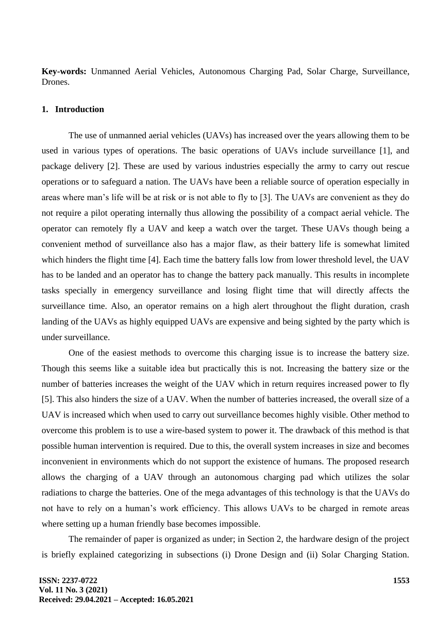**Key-words:** Unmanned Aerial Vehicles, Autonomous Charging Pad, Solar Charge, Surveillance, Drones.

### **1. Introduction**

The use of unmanned aerial vehicles (UAVs) has increased over the years allowing them to be used in various types of operations. The basic operations of UAVs include surveillance [1], and package delivery [2]. These are used by various industries especially the army to carry out rescue operations or to safeguard a nation. The UAVs have been a reliable source of operation especially in areas where man's life will be at risk or is not able to fly to [3]. The UAVs are convenient as they do not require a pilot operating internally thus allowing the possibility of a compact aerial vehicle. The operator can remotely fly a UAV and keep a watch over the target. These UAVs though being a convenient method of surveillance also has a major flaw, as their battery life is somewhat limited which hinders the flight time [4]. Each time the battery falls low from lower threshold level, the UAV has to be landed and an operator has to change the battery pack manually. This results in incomplete tasks specially in emergency surveillance and losing flight time that will directly affects the surveillance time. Also, an operator remains on a high alert throughout the flight duration, crash landing of the UAVs as highly equipped UAVs are expensive and being sighted by the party which is under surveillance.

One of the easiest methods to overcome this charging issue is to increase the battery size. Though this seems like a suitable idea but practically this is not. Increasing the battery size or the number of batteries increases the weight of the UAV which in return requires increased power to fly [5]. This also hinders the size of a UAV. When the number of batteries increased, the overall size of a UAV is increased which when used to carry out surveillance becomes highly visible. Other method to overcome this problem is to use a wire-based system to power it. The drawback of this method is that possible human intervention is required. Due to this, the overall system increases in size and becomes inconvenient in environments which do not support the existence of humans. The proposed research allows the charging of a UAV through an autonomous charging pad which utilizes the solar radiations to charge the batteries. One of the mega advantages of this technology is that the UAVs do not have to rely on a human's work efficiency. This allows UAVs to be charged in remote areas where setting up a human friendly base becomes impossible.

The remainder of paper is organized as under; in Section 2, the hardware design of the project is briefly explained categorizing in subsections (i) Drone Design and (ii) Solar Charging Station.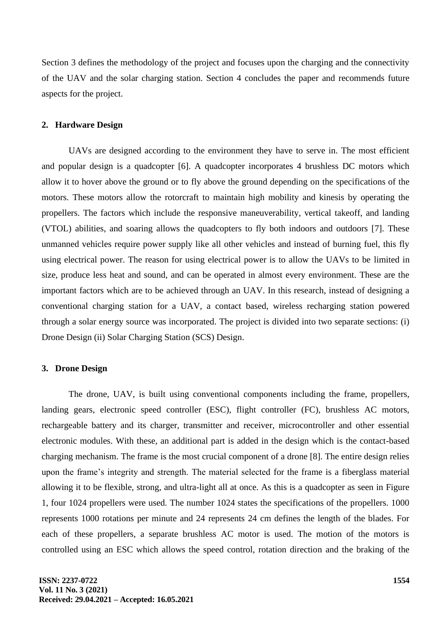Section 3 defines the methodology of the project and focuses upon the charging and the connectivity of the UAV and the solar charging station. Section 4 concludes the paper and recommends future aspects for the project.

# **2. Hardware Design**

UAVs are designed according to the environment they have to serve in. The most efficient and popular design is a quadcopter [6]. A quadcopter incorporates 4 brushless DC motors which allow it to hover above the ground or to fly above the ground depending on the specifications of the motors. These motors allow the rotorcraft to maintain high mobility and kinesis by operating the propellers. The factors which include the responsive maneuverability, vertical takeoff, and landing (VTOL) abilities, and soaring allows the quadcopters to fly both indoors and outdoors [7]. These unmanned vehicles require power supply like all other vehicles and instead of burning fuel, this fly using electrical power. The reason for using electrical power is to allow the UAVs to be limited in size, produce less heat and sound, and can be operated in almost every environment. These are the important factors which are to be achieved through an UAV. In this research, instead of designing a conventional charging station for a UAV, a contact based, wireless recharging station powered through a solar energy source was incorporated. The project is divided into two separate sections: (i) Drone Design (ii) Solar Charging Station (SCS) Design.

# **3. Drone Design**

The drone, UAV, is built using conventional components including the frame, propellers, landing gears, electronic speed controller (ESC), flight controller (FC), brushless AC motors, rechargeable battery and its charger, transmitter and receiver, microcontroller and other essential electronic modules. With these, an additional part is added in the design which is the contact-based charging mechanism. The frame is the most crucial component of a drone [8]. The entire design relies upon the frame's integrity and strength. The material selected for the frame is a fiberglass material allowing it to be flexible, strong, and ultra-light all at once. As this is a quadcopter as seen in Figure 1, four 1024 propellers were used. The number 1024 states the specifications of the propellers. 1000 represents 1000 rotations per minute and 24 represents 24 cm defines the length of the blades. For each of these propellers, a separate brushless AC motor is used. The motion of the motors is controlled using an ESC which allows the speed control, rotation direction and the braking of the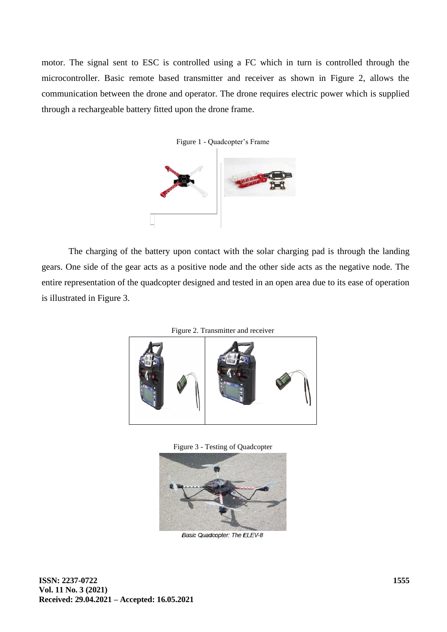motor. The signal sent to ESC is controlled using a FC which in turn is controlled through the microcontroller. Basic remote based transmitter and receiver as shown in Figure 2, allows the communication between the drone and operator. The drone requires electric power which is supplied through a rechargeable battery fitted upon the drone frame.



The charging of the battery upon contact with the solar charging pad is through the landing gears. One side of the gear acts as a positive node and the other side acts as the negative node. The entire representation of the quadcopter designed and tested in an open area due to its ease of operation is illustrated in Figure 3.





Figure 3 - Testing of Quadcopter



Basic Quadcopter: The ELEV-8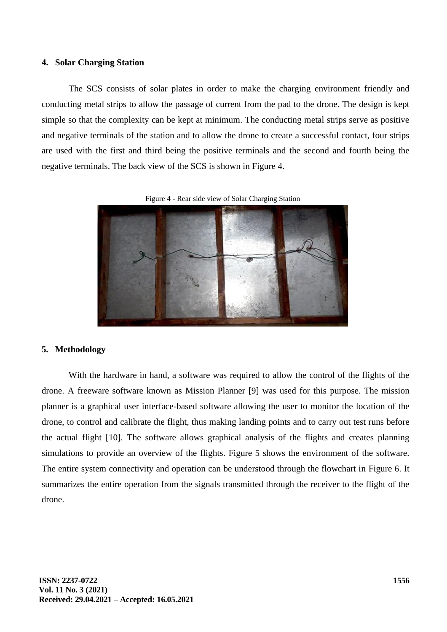# **4. Solar Charging Station**

The SCS consists of solar plates in order to make the charging environment friendly and conducting metal strips to allow the passage of current from the pad to the drone. The design is kept simple so that the complexity can be kept at minimum. The conducting metal strips serve as positive and negative terminals of the station and to allow the drone to create a successful contact, four strips are used with the first and third being the positive terminals and the second and fourth being the negative terminals. The back view of the SCS is shown in Figure 4.

#### Figure 4 - Rear side view of Solar Charging Station



#### **5. Methodology**

With the hardware in hand, a software was required to allow the control of the flights of the drone. A freeware software known as Mission Planner [9] was used for this purpose. The mission planner is a graphical user interface-based software allowing the user to monitor the location of the drone, to control and calibrate the flight, thus making landing points and to carry out test runs before the actual flight [10]. The software allows graphical analysis of the flights and creates planning simulations to provide an overview of the flights. Figure 5 shows the environment of the software. The entire system connectivity and operation can be understood through the flowchart in Figure 6. It summarizes the entire operation from the signals transmitted through the receiver to the flight of the drone.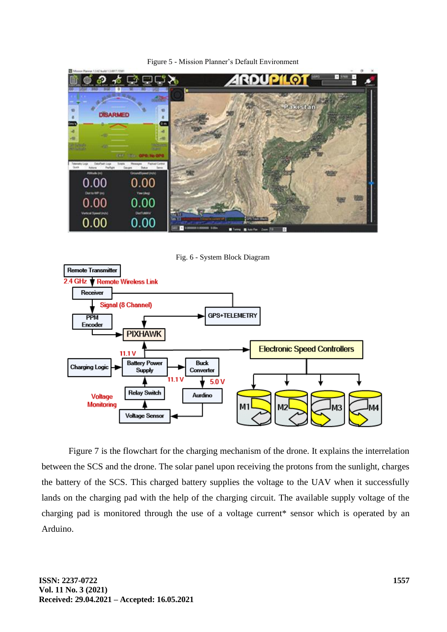

Figure 5 - Mission Planner's Default Environment

Fig. 6 - System Block Diagram



Figure 7 is the flowchart for the charging mechanism of the drone. It explains the interrelation between the SCS and the drone. The solar panel upon receiving the protons from the sunlight, charges the battery of the SCS. This charged battery supplies the voltage to the UAV when it successfully lands on the charging pad with the help of the charging circuit. The available supply voltage of the charging pad is monitored through the use of a voltage current\* sensor which is operated by an Arduino.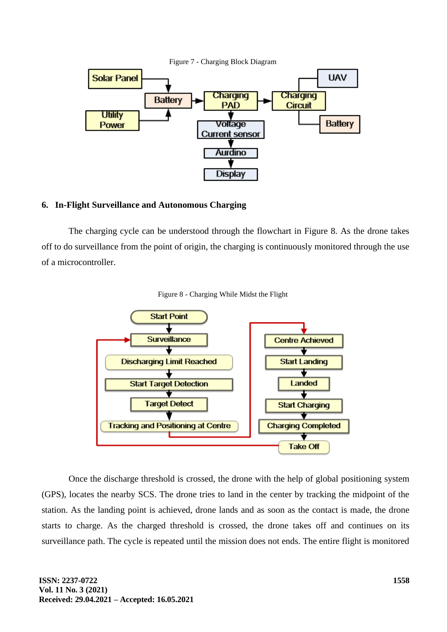

# **6. In-Flight Surveillance and Autonomous Charging**

The charging cycle can be understood through the flowchart in Figure 8. As the drone takes off to do surveillance from the point of origin, the charging is continuously monitored through the use of a microcontroller.



Figure 8 - Charging While Midst the Flight

Once the discharge threshold is crossed, the drone with the help of global positioning system (GPS), locates the nearby SCS. The drone tries to land in the center by tracking the midpoint of the station. As the landing point is achieved, drone lands and as soon as the contact is made, the drone starts to charge. As the charged threshold is crossed, the drone takes off and continues on its surveillance path. The cycle is repeated until the mission does not ends. The entire flight is monitored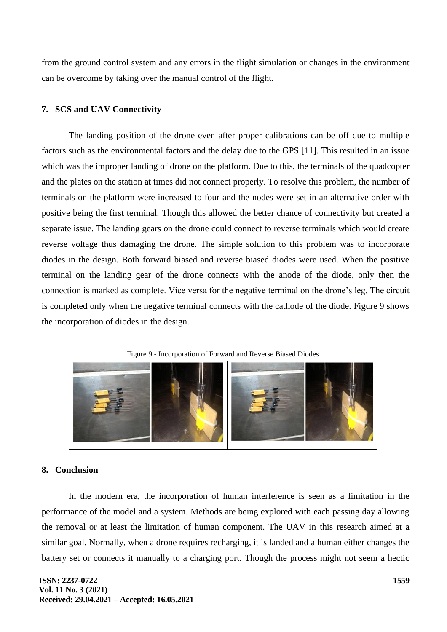from the ground control system and any errors in the flight simulation or changes in the environment can be overcome by taking over the manual control of the flight.

# **7. SCS and UAV Connectivity**

The landing position of the drone even after proper calibrations can be off due to multiple factors such as the environmental factors and the delay due to the GPS [11]. This resulted in an issue which was the improper landing of drone on the platform. Due to this, the terminals of the quadcopter and the plates on the station at times did not connect properly. To resolve this problem, the number of terminals on the platform were increased to four and the nodes were set in an alternative order with positive being the first terminal. Though this allowed the better chance of connectivity but created a separate issue. The landing gears on the drone could connect to reverse terminals which would create reverse voltage thus damaging the drone. The simple solution to this problem was to incorporate diodes in the design. Both forward biased and reverse biased diodes were used. When the positive terminal on the landing gear of the drone connects with the anode of the diode, only then the connection is marked as complete. Vice versa for the negative terminal on the drone's leg. The circuit is completed only when the negative terminal connects with the cathode of the diode. Figure 9 shows the incorporation of diodes in the design.





# **8. Conclusion**

In the modern era, the incorporation of human interference is seen as a limitation in the performance of the model and a system. Methods are being explored with each passing day allowing the removal or at least the limitation of human component. The UAV in this research aimed at a similar goal. Normally, when a drone requires recharging, it is landed and a human either changes the battery set or connects it manually to a charging port. Though the process might not seem a hectic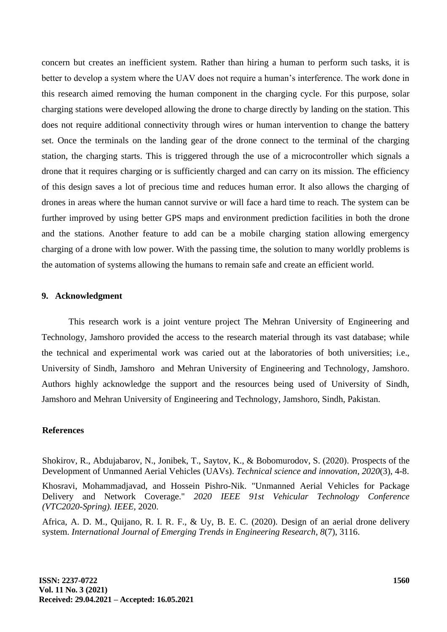concern but creates an inefficient system. Rather than hiring a human to perform such tasks, it is better to develop a system where the UAV does not require a human's interference. The work done in this research aimed removing the human component in the charging cycle. For this purpose, solar charging stations were developed allowing the drone to charge directly by landing on the station. This does not require additional connectivity through wires or human intervention to change the battery set. Once the terminals on the landing gear of the drone connect to the terminal of the charging station, the charging starts. This is triggered through the use of a microcontroller which signals a drone that it requires charging or is sufficiently charged and can carry on its mission. The efficiency of this design saves a lot of precious time and reduces human error. It also allows the charging of drones in areas where the human cannot survive or will face a hard time to reach. The system can be further improved by using better GPS maps and environment prediction facilities in both the drone and the stations. Another feature to add can be a mobile charging station allowing emergency charging of a drone with low power. With the passing time, the solution to many worldly problems is the automation of systems allowing the humans to remain safe and create an efficient world.

# **9. Acknowledgment**

This research work is a joint venture project The Mehran University of Engineering and Technology, Jamshoro provided the access to the research material through its vast database; while the technical and experimental work was caried out at the laboratories of both universities; i.e., University of Sindh, Jamshoro and Mehran University of Engineering and Technology, Jamshoro. Authors highly acknowledge the support and the resources being used of University of Sindh, Jamshoro and Mehran University of Engineering and Technology, Jamshoro, Sindh, Pakistan.

# **References**

Shokirov, R., Abdujabarov, N., Jonibek, T., Saytov, K., & Bobomurodov, S. (2020). Prospects of the Development of Unmanned Aerial Vehicles (UAVs). *Technical science and innovation*, *2020*(3), 4-8.

Khosravi, Mohammadjavad, and Hossein Pishro-Nik. "Unmanned Aerial Vehicles for Package Delivery and Network Coverage." *2020 IEEE 91st Vehicular Technology Conference (VTC2020-Spring). IEEE,* 2020.

Africa, A. D. M., Quijano, R. I. R. F., & Uy, B. E. C. (2020). Design of an aerial drone delivery system. *International Journal of Emerging Trends in Engineering Research*, *8*(7), 3116.